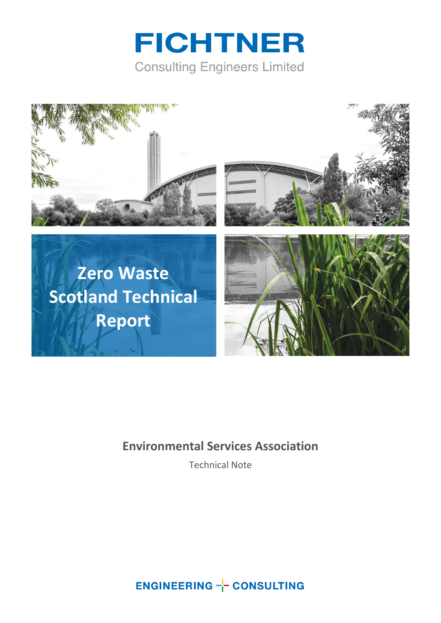



#### **Environmental Services Association**

Technical Note

**ENGINEERING -- CONSULTING**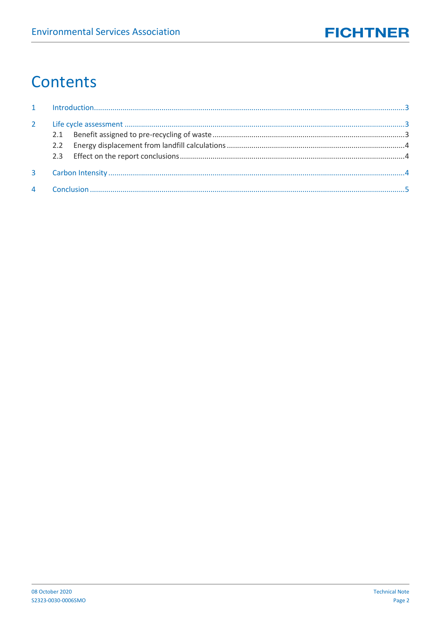# Contents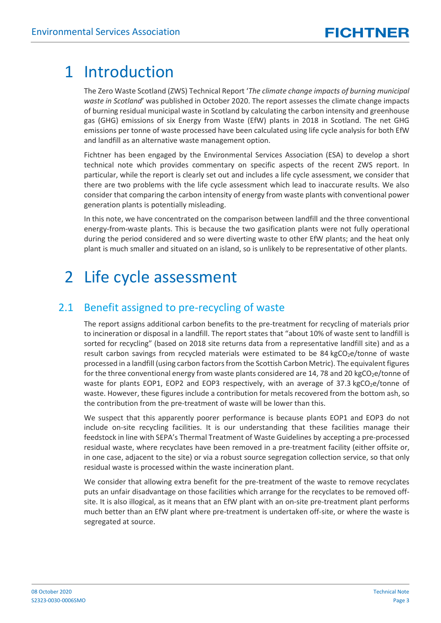### <span id="page-2-0"></span>1 Introduction

The Zero Waste Scotland (ZWS) Technical Report '*The climate change impacts of burning municipal waste in Scotland*' was published in October 2020. The report assesses the climate change impacts of burning residual municipal waste in Scotland by calculating the carbon intensity and greenhouse gas (GHG) emissions of six Energy from Waste (EfW) plants in 2018 in Scotland. The net GHG emissions per tonne of waste processed have been calculated using life cycle analysis for both EfW and landfill as an alternative waste management option.

Fichtner has been engaged by the Environmental Services Association (ESA) to develop a short technical note which provides commentary on specific aspects of the recent ZWS report. In particular, while the report is clearly set out and includes a life cycle assessment, we consider that there are two problems with the life cycle assessment which lead to inaccurate results. We also consider that comparing the carbon intensity of energy from waste plants with conventional power generation plants is potentially misleading.

In this note, we have concentrated on the comparison between landfill and the three conventional energy-from-waste plants. This is because the two gasification plants were not fully operational during the period considered and so were diverting waste to other EfW plants; and the heat only plant is much smaller and situated on an island, so is unlikely to be representative of other plants.

## <span id="page-2-1"></span>2 Life cycle assessment

#### <span id="page-2-2"></span>2.1 Benefit assigned to pre-recycling of waste

The report assigns additional carbon benefits to the pre-treatment for recycling of materials prior to incineration or disposal in a landfill. The report states that "about 10% of waste sent to landfill is sorted for recycling" (based on 2018 site returns data from a representative landfill site) and as a result carbon savings from recycled materials were estimated to be 84 kgCO<sub>2</sub>e/tonne of waste processed in a landfill (using carbon factors from the Scottish Carbon Metric). The equivalent figures for the three conventional energy from waste plants considered are 14, 78 and 20 kgCO<sub>2</sub>e/tonne of waste for plants EOP1, EOP2 and EOP3 respectively, with an average of 37.3 kgCO<sub>2</sub>e/tonne of waste. However, these figures include a contribution for metals recovered from the bottom ash, so the contribution from the pre-treatment of waste will be lower than this.

We suspect that this apparently poorer performance is because plants EOP1 and EOP3 do not include on-site recycling facilities. It is our understanding that these facilities manage their feedstock in line with SEPA's Thermal Treatment of Waste Guidelines by accepting a pre-processed residual waste, where recyclates have been removed in a pre-treatment facility (either offsite or, in one case, adjacent to the site) or via a robust source segregation collection service, so that only residual waste is processed within the waste incineration plant.

We consider that allowing extra benefit for the pre-treatment of the waste to remove recyclates puts an unfair disadvantage on those facilities which arrange for the recyclates to be removed offsite. It is also illogical, as it means that an EfW plant with an on-site pre-treatment plant performs much better than an EfW plant where pre-treatment is undertaken off-site, or where the waste is segregated at source.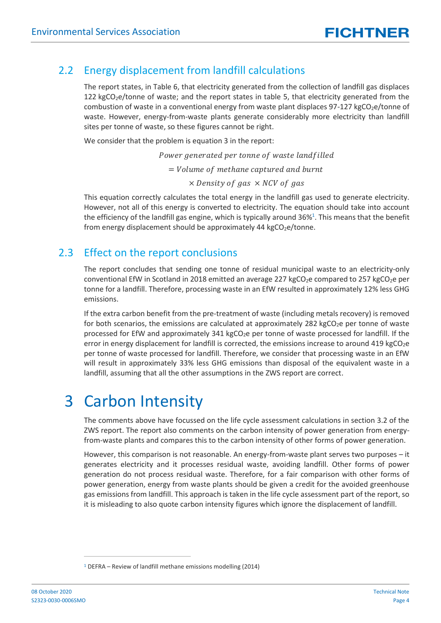#### 2.2 Energy displacement from landfill calculations

<span id="page-3-0"></span>The report states, in Table 6, that electricity generated from the collection of landfill gas displaces 122 kgCO<sub>2</sub>e/tonne of waste; and the report states in table 5, that electricity generated from the combustion of waste in a conventional energy from waste plant displaces  $97-127$  kgCO<sub>2</sub>e/tonne of waste. However, energy-from-waste plants generate considerably more electricity than landfill sites per tonne of waste, so these figures cannot be right.

We consider that the problem is equation 3 in the report:

Power generated per tonne of waste landfilled  $=$  Volume of methane captured and burnt  $\times$  Density of gas  $\times$  NCV of gas

This equation correctly calculates the total energy in the landfill gas used to generate electricity. However, not all of this energy is converted to electricity. The equation should take into account the efficiency of the landfill gas engine, which is typically around 36%<sup>1</sup>. This means that the benefit from energy displacement should be approximately  $44 \text{ kgCO}_2$ e/tonne.

#### <span id="page-3-1"></span>2.3 Effect on the report conclusions

The report concludes that sending one tonne of residual municipal waste to an electricity-only conventional EfW in Scotland in 2018 emitted an average 227 kgCO<sub>2</sub>e compared to 257 kgCO<sub>2</sub>e per tonne for a landfill. Therefore, processing waste in an EfW resulted in approximately 12% less GHG emissions.

If the extra carbon benefit from the pre-treatment of waste (including metals recovery) is removed for both scenarios, the emissions are calculated at approximately 282 kgCO<sub>2</sub>e per tonne of waste processed for EfW and approximately 341 kgCO<sub>2</sub>e per tonne of waste processed for landfill. If the error in energy displacement for landfill is corrected, the emissions increase to around 419 kgCO<sub>2</sub>e per tonne of waste processed for landfill. Therefore, we consider that processing waste in an EfW will result in approximately 33% less GHG emissions than disposal of the equivalent waste in a landfill, assuming that all the other assumptions in the ZWS report are correct.

## <span id="page-3-2"></span>3 Carbon Intensity

The comments above have focussed on the life cycle assessment calculations in section 3.2 of the ZWS report. The report also comments on the carbon intensity of power generation from energyfrom-waste plants and compares this to the carbon intensity of other forms of power generation.

However, this comparison is not reasonable. An energy-from-waste plant serves two purposes – it generates electricity and it processes residual waste, avoiding landfill. Other forms of power generation do not process residual waste. Therefore, for a fair comparison with other forms of power generation, energy from waste plants should be given a credit for the avoided greenhouse gas emissions from landfill. This approach is taken in the life cycle assessment part of the report, so it is misleading to also quote carbon intensity figures which ignore the displacement of landfill.

<sup>1</sup> DEFRA – Review of landfill methane emissions modelling (2014)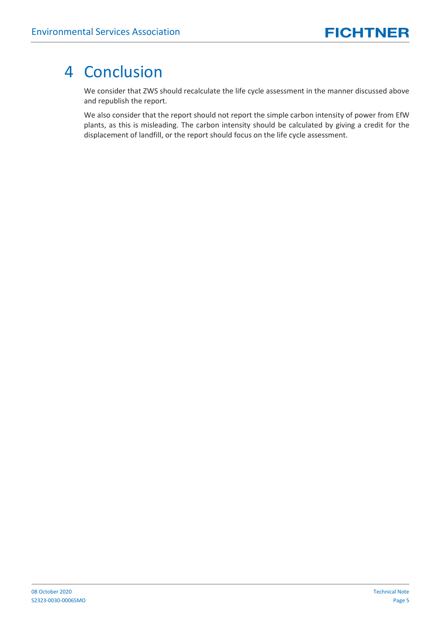### <span id="page-4-0"></span>4 Conclusion

We consider that ZWS should recalculate the life cycle assessment in the manner discussed above and republish the report.

We also consider that the report should not report the simple carbon intensity of power from EfW plants, as this is misleading. The carbon intensity should be calculated by giving a credit for the displacement of landfill, or the report should focus on the life cycle assessment.